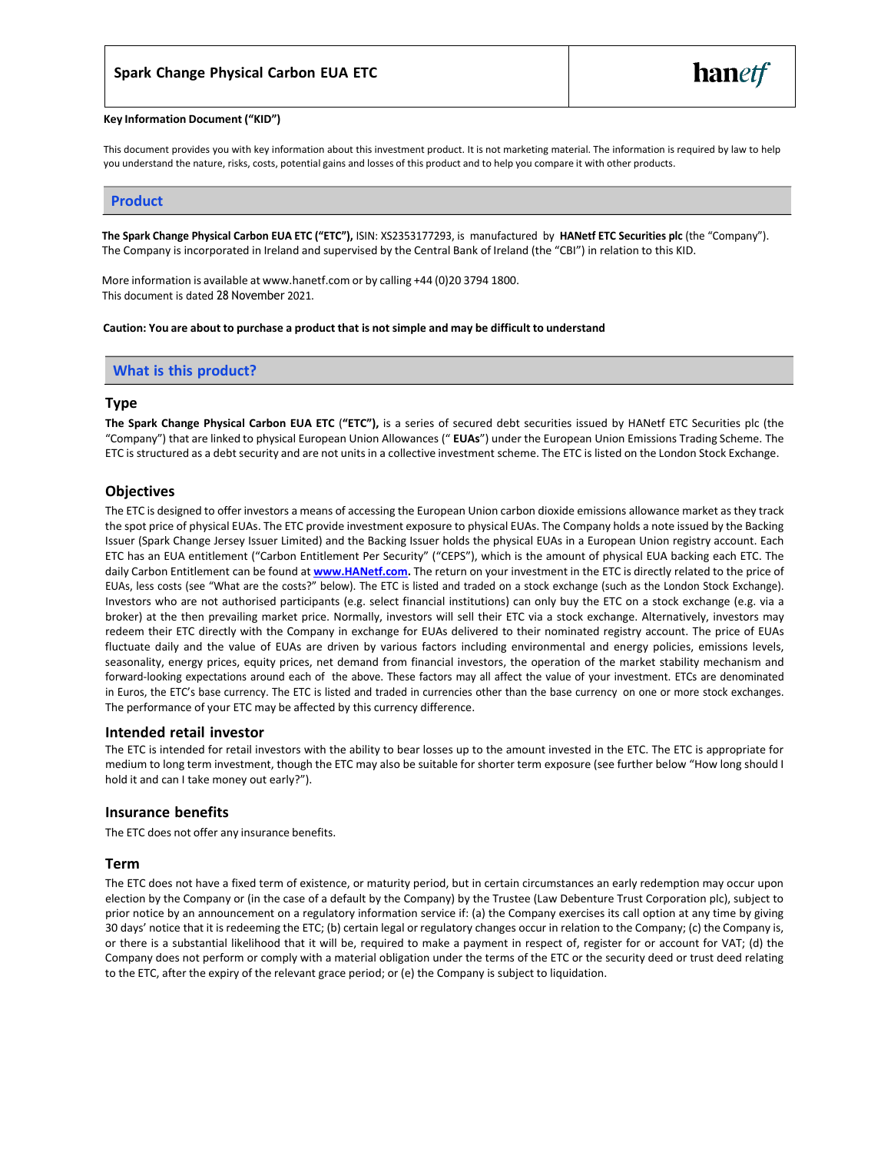#### **Key Information Document ("KID")**

This document provides you with key information about this investment product. It is not marketing material. The information is required by law to help you understand the nature, risks, costs, potential gains and losses of this product and to help you compare it with other products.

#### **Product**

**The Spark Change Physical Carbon EUA ETC ("ETC"),** ISIN: XS2353177293, is manufactured by **HANetf ETC Securities plc** (the "Company"). The Company is incorporated in Ireland and supervised by the Central Bank of Ireland (the "CBI") in relation to this KID.

More information is available at [www.hanetf.com](http://www.hanetf.com/) or by calling +44 (0)20 3794 1800. This document is dated 28 November 2021.

**Caution: You are about to purchase a product that is not simple and may be difficult to understand**

#### **What is this product?**

#### **Type**

**The Spark Change Physical Carbon EUA ETC** (**"ETC"),** is a series of secured debt securities issued by HANetf ETC Securities plc (the "Company") that are linked to physical European Union Allowances (" **EUAs**") under the European Union Emissions Trading Scheme. The ETC is structured as a debt security and are not unitsin a collective investment scheme. The ETC is listed on the London Stock Exchange.

#### **Objectives**

The ETC is designed to offer investors a means of accessing the European Union carbon dioxide emissions allowance market as they track the spot price of physical EUAs. The ETC provide investment exposure to physical EUAs. The Company holds a note issued by the Backing Issuer (Spark Change Jersey Issuer Limited) and the Backing Issuer holds the physical EUAs in a European Union registry account. Each ETC has an EUA entitlement ("Carbon Entitlement Per Security" ("CEPS"), which is the amount of physical EUA backing each ETC. The daily Carbon Entitlement can be found at **[www.HANetf.com.](http://www.hanetf.com/)** The return on your investment in the ETC is directly related to the price of EUAs, less costs (see "What are the costs?" below). The ETC is listed and traded on a stock exchange (such as the London Stock Exchange). Investors who are not authorised participants (e.g. select financial institutions) can only buy the ETC on a stock exchange (e.g. via a broker) at the then prevailing market price. Normally, investors will sell their ETC via a stock exchange. Alternatively, investors may redeem their ETC directly with the Company in exchange for EUAs delivered to their nominated registry account. The price of EUAs fluctuate daily and the value of EUAs are driven by various factors including environmental and energy policies, emissions levels, seasonality, energy prices, equity prices, net demand from financial investors, the operation of the market stability mechanism and forward-looking expectations around each of the above. These factors may all affect the value of your investment. ETCs are denominated in Euros, the ETC's base currency. The ETC is listed and traded in currencies other than the base currency on one or more stock exchanges. The performance of your ETC may be affected by this currency difference.

#### **Intended retail investor**

The ETC is intended for retail investors with the ability to bear losses up to the amount invested in the ETC. The ETC is appropriate for medium to long term investment, though the ETC may also be suitable for shorter term exposure (see further below "How long should I hold it and can I take money out early?").

#### **Insurance benefits**

The ETC does not offer any insurance benefits.

#### **Term**

The ETC does not have a fixed term of existence, or maturity period, but in certain circumstances an early redemption may occur upon election by the Company or (in the case of a default by the Company) by the Trustee (Law Debenture Trust Corporation plc), subject to prior notice by an announcement on a regulatory information service if: (a) the Company exercises its call option at any time by giving 30 days' notice that it is redeeming the ETC; (b) certain legal or regulatory changes occur in relation to the Company; (c) the Company is, or there is a substantial likelihood that it will be, required to make a payment in respect of, register for or account for VAT; (d) the Company does not perform or comply with a material obligation under the terms of the ETC or the security deed or trust deed relating to the ETC, after the expiry of the relevant grace period; or (e) the Company is subject to liquidation.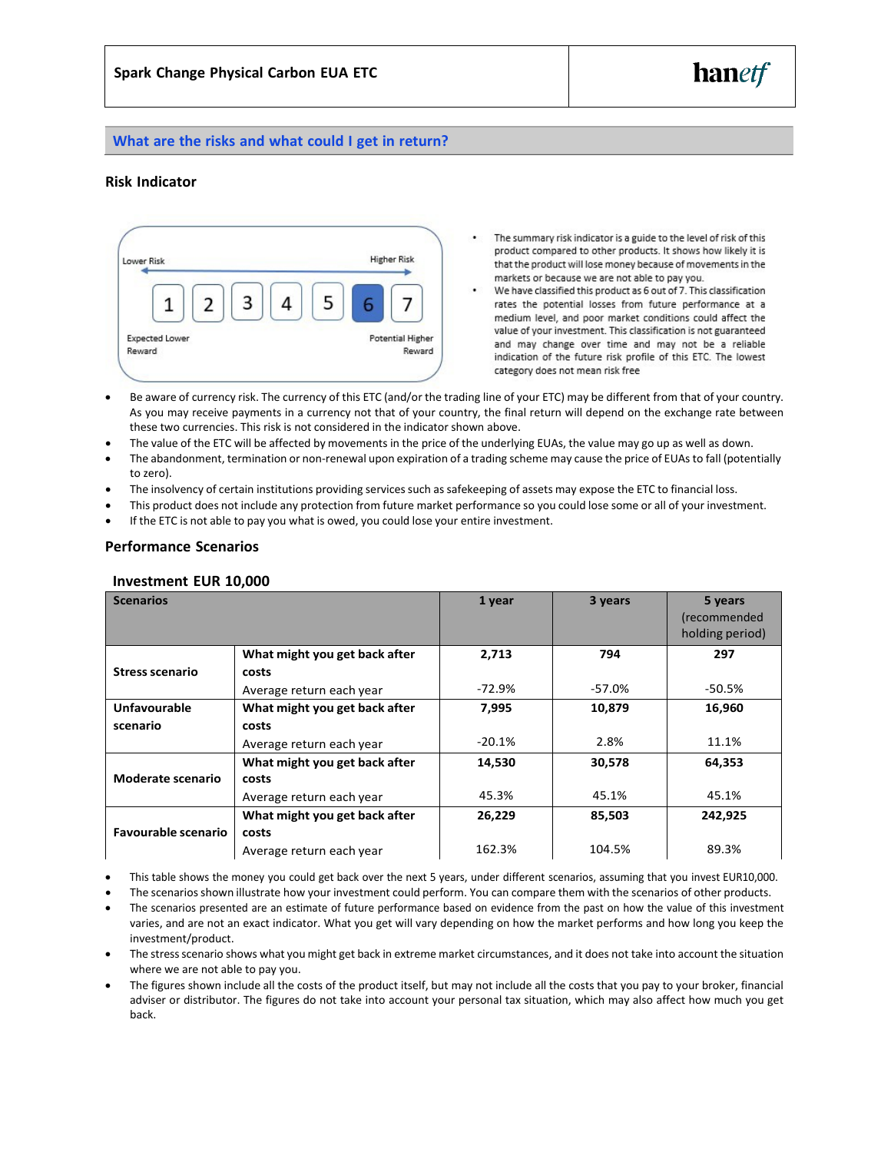

# **What are the risks and what could I get in return?**

# **Risk Indicator**



- The summary risk indicator is a guide to the level of risk of this product compared to other products. It shows how likely it is that the product will lose money because of movements in the markets or because we are not able to pay you.
- We have classified this product as 6 out of 7. This classification rates the potential losses from future performance at a medium level, and poor market conditions could affect the value of your investment. This classification is not guaranteed and may change over time and may not be a reliable indication of the future risk profile of this ETC. The lowest category does not mean risk free
- Be aware of currency risk. The currency of this ETC (and/or the trading line of your ETC) may be different from that of your country. As you may receive payments in a currency not that of your country, the final return will depend on the exchange rate between these two currencies. This risk is not considered in the indicator shown above.
- The value of the ETC will be affected by movements in the price of the underlying EUAs, the value may go up as well as down.
- The abandonment, termination or non-renewal upon expiration of a trading scheme may cause the price of EUAs to fall (potentially to zero).
- The insolvency of certain institutions providing services such as safekeeping of assets may expose the ETC to financial loss.
- This product does not include any protection from future market performance so you could lose some or all of your investment.
- If the ETC is not able to pay you what is owed, you could lose your entire investment.

## **Performance Scenarios**

# **Investment EUR 10,000**

| <b>Scenarios</b>                  |                               | 1 year   | 3 years | 5 years<br>(recommended<br>holding period) |
|-----------------------------------|-------------------------------|----------|---------|--------------------------------------------|
|                                   | What might you get back after | 2,713    | 794     | 297                                        |
| <b>Stress scenario</b>            | costs                         |          |         |                                            |
|                                   | Average return each year      | -72.9%   | -57.0%  | -50.5%                                     |
| Unfavourable                      | What might you get back after | 7,995    | 10,879  | 16,960                                     |
| scenario                          | costs                         |          |         |                                            |
|                                   | Average return each year      | $-20.1%$ | 2.8%    | 11.1%                                      |
|                                   | What might you get back after | 14,530   | 30,578  | 64,353                                     |
| <b>Moderate scenario</b><br>costs |                               |          |         |                                            |
|                                   | Average return each year      | 45.3%    | 45.1%   | 45.1%                                      |
|                                   | What might you get back after | 26,229   | 85,503  | 242,925                                    |
| <b>Favourable scenario</b>        | costs                         |          |         |                                            |
|                                   | Average return each year      | 162.3%   | 104.5%  | 89.3%                                      |

• This table shows the money you could get back over the next 5 years, under different scenarios, assuming that you invest EUR10,000.

The scenarios shown illustrate how your investment could perform. You can compare them with the scenarios of other products.

- The scenarios presented are an estimate of future performance based on evidence from the past on how the value of this investment varies, and are not an exact indicator. What you get will vary depending on how the market performs and how long you keep the investment/product.
- The stressscenario shows what you might get back in extreme market circumstances, and it does not take into account the situation where we are not able to pay you.
- The figures shown include all the costs of the product itself, but may not include all the costs that you pay to your broker, financial adviser or distributor. The figures do not take into account your personal tax situation, which may also affect how much you get back.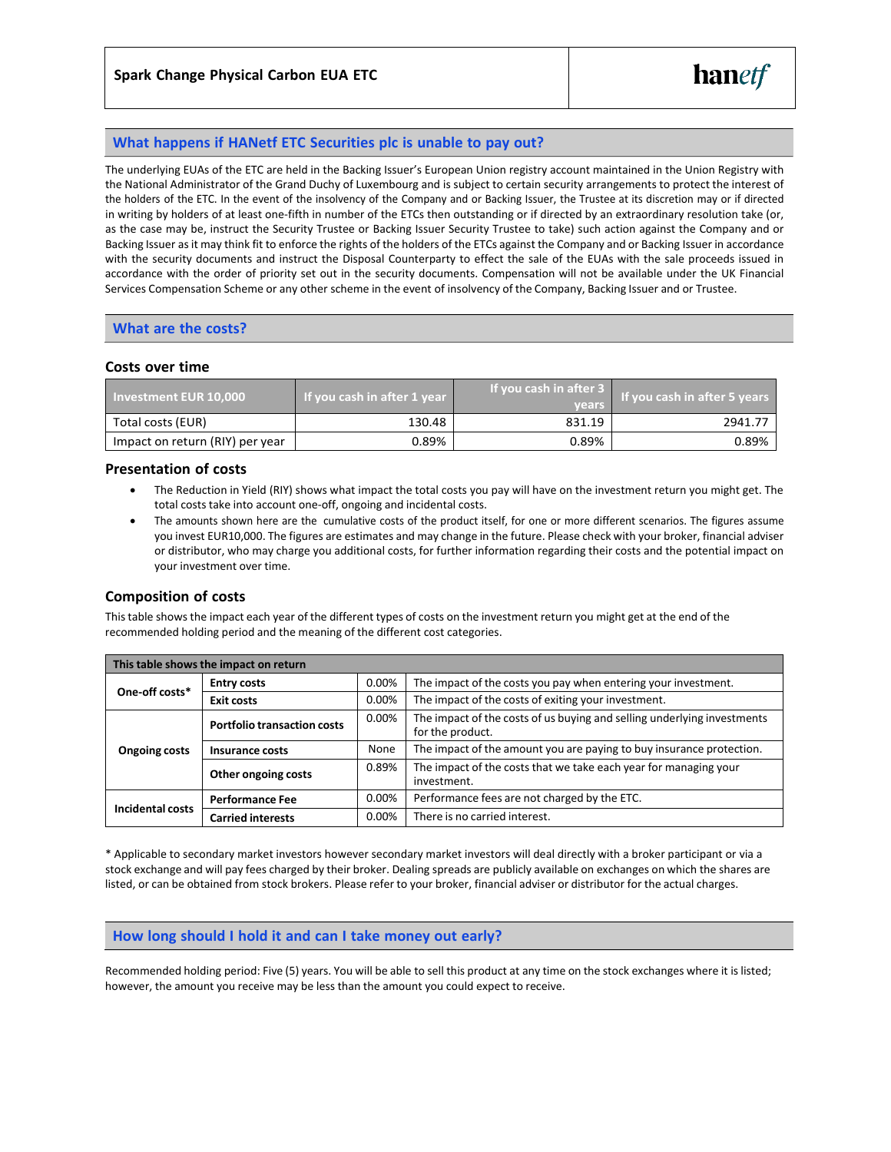# **What happens if HANetf ETC Securities plc is unable to pay out?**

The underlying EUAs of the ETC are held in the Backing Issuer's European Union registry account maintained in the Union Registry with the National Administrator of the Grand Duchy of Luxembourg and is subject to certain security arrangements to protect the interest of the holders of the ETC. In the event of the insolvency of the Company and or Backing Issuer, the Trustee at its discretion may or if directed in writing by holders of at least one-fifth in number of the ETCs then outstanding or if directed by an extraordinary resolution take (or, as the case may be, instruct the Security Trustee or Backing Issuer Security Trustee to take) such action against the Company and or Backing Issuer asit may think fit to enforce the rights of the holders of the ETCs against the Company and or Backing Issuer in accordance with the security documents and instruct the Disposal Counterparty to effect the sale of the EUAs with the sale proceeds issued in accordance with the order of priority set out in the security documents. Compensation will not be available under the UK Financial Services Compensation Scheme or any other scheme in the event of insolvency of the Company, Backing Issuer and or Trustee.

# **What are the costs?**

## **Costs over time**

| <b>Investment EUR 10.000</b>    | If you cash in after 1 year | If you cash in after 3<br><b>vears</b> | If you cash in after 5 years |
|---------------------------------|-----------------------------|----------------------------------------|------------------------------|
| Total costs (EUR)               | 130.48                      | 831.19                                 | 2941.77                      |
| Impact on return (RIY) per year | 0.89%                       | 0.89%                                  | 0.89%                        |

## **Presentation of costs**

- The Reduction in Yield (RIY) shows what impact the total costs you pay will have on the investment return you might get. The total costs take into account one-off, ongoing and incidental costs.
- The amounts shown here are the cumulative costs of the product itself, for one or more different scenarios. The figures assume you invest EUR10,000. The figures are estimates and may change in the future. Please check with your broker, financial adviser or distributor, who may charge you additional costs, for further information regarding their costs and the potential impact on your investment over time.

# **Composition of costs**

Thistable shows the impact each year of the different types of costs on the investment return you might get at the end of the recommended holding period and the meaning of the different cost categories.

| This table shows the impact on return |                                    |       |                                                                                             |  |  |
|---------------------------------------|------------------------------------|-------|---------------------------------------------------------------------------------------------|--|--|
| One-off costs*                        | <b>Entry costs</b>                 | 0.00% | The impact of the costs you pay when entering your investment.                              |  |  |
|                                       | <b>Exit costs</b>                  | 0.00% | The impact of the costs of exiting your investment.                                         |  |  |
| <b>Ongoing costs</b>                  | <b>Portfolio transaction costs</b> | 0.00% | The impact of the costs of us buying and selling underlying investments<br>for the product. |  |  |
|                                       | Insurance costs                    | None  | The impact of the amount you are paying to buy insurance protection.                        |  |  |
|                                       | Other ongoing costs                | 0.89% | The impact of the costs that we take each year for managing your<br>investment.             |  |  |
| Incidental costs                      | <b>Performance Fee</b>             | 0.00% | Performance fees are not charged by the ETC.                                                |  |  |
|                                       | <b>Carried interests</b>           | 0.00% | There is no carried interest.                                                               |  |  |

\* Applicable to secondary market investors however secondary market investors will deal directly with a broker participant or via a stock exchange and will pay fees charged by their broker. Dealing spreads are publicly available on exchanges on which the shares are listed, or can be obtained from stock brokers. Please refer to your broker, financial adviser or distributor for the actual charges.

#### **How long should I hold it and can I take money out early?**

Recommended holding period: Five (5) years. You will be able to sell this product at any time on the stock exchanges where it islisted; however, the amount you receive may be less than the amount you could expect to receive.